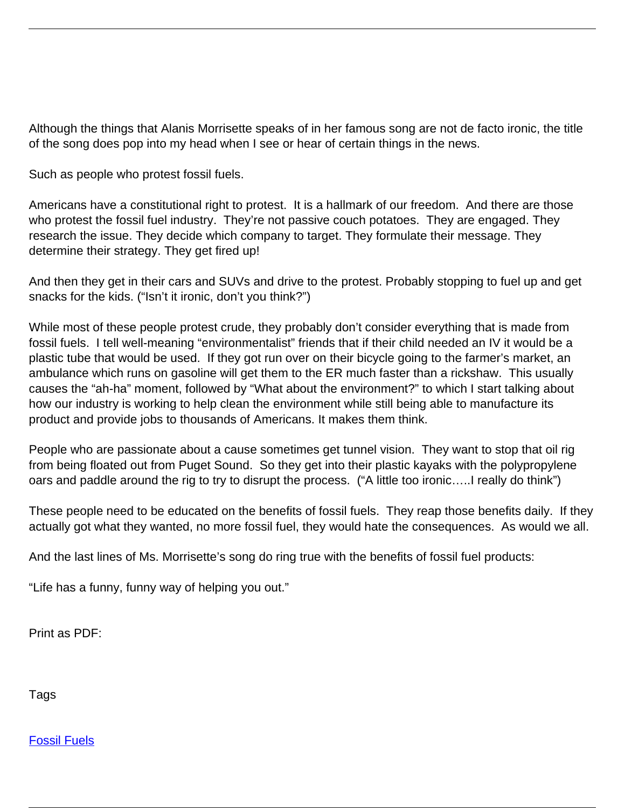Although the things that Alanis Morrisette speaks of in her famous song are not de facto ironic, the title of the song does pop into my head when I see or hear of certain things in the news.

Such as people who protest fossil fuels.

Americans have a constitutional right to protest. It is a hallmark of our freedom. And there are those who protest the fossil fuel industry. They're not passive couch potatoes. They are engaged. They research the issue. They decide which company to target. They formulate their message. They determine their strategy. They get fired up!

And then they get in their cars and SUVs and drive to the protest. Probably stopping to fuel up and get snacks for the kids. ("Isn't it ironic, don't you think?")

While most of these people protest crude, they probably don't consider everything that is made from fossil fuels. I tell well-meaning "environmentalist" friends that if their child needed an IV it would be a plastic tube that would be used. If they got run over on their bicycle going to the farmer's market, an ambulance which runs on gasoline will get them to the ER much faster than a rickshaw. This usually causes the "ah-ha" moment, followed by "What about the environment?" to which I start talking about how our industry is working to help clean the environment while still being able to manufacture its product and provide jobs to thousands of Americans. It makes them think.

People who are passionate about a cause sometimes get tunnel vision. They want to stop that oil rig from being floated out from Puget Sound. So they get into their plastic kayaks with the polypropylene oars and paddle around the rig to try to disrupt the process. ("A little too ironic…..I really do think")

These people need to be educated on the benefits of fossil fuels. They reap those benefits daily. If they actually got what they wanted, no more fossil fuel, they would hate the consequences. As would we all.

And the last lines of Ms. Morrisette's song do ring true with the benefits of fossil fuel products:

"Life has a funny, funny way of helping you out."

Print as PDF:

Tags

[Fossil Fuels](/tag/fossil-fuels)